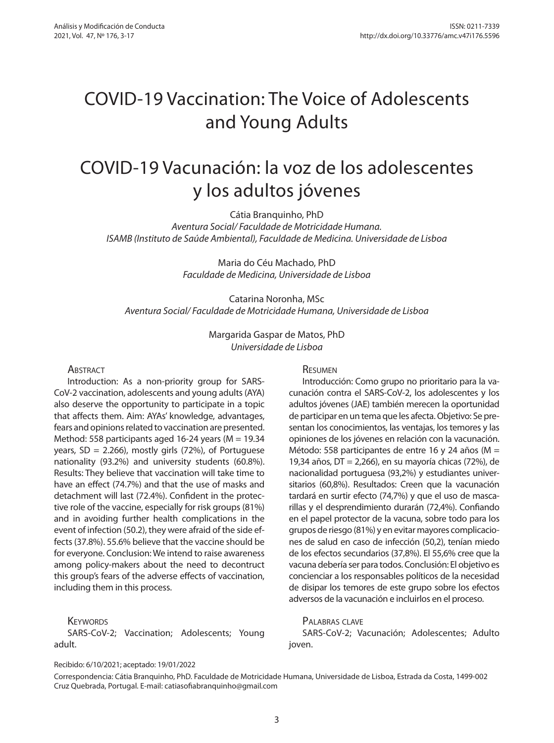# COVID-19 Vaccination: The Voice of Adolescents and Young Adults

# COVID-19 Vacunación: la voz de los adolescentes y los adultos jóvenes

Cátia Branquinho, PhD

*Aventura Social/ Faculdade de Motricidade Humana. ISAMB (Instituto de Saúde Ambiental), Faculdade de Medicina. Universidade de Lisboa*

> Maria do Céu Machado, PhD *Faculdade de Medicina, Universidade de Lisboa*

Catarina Noronha, MSc *Aventura Social/ Faculdade de Motricidade Humana, Universidade de Lisboa*

> Margarida Gaspar de Matos, PhD *Universidade de Lisboa*

#### **ABSTRACT**

Introduction: As a non-priority group for SARS-CoV-2 vaccination, adolescents and young adults (AYA) also deserve the opportunity to participate in a topic that affects them. Aim: AYAs' knowledge, advantages, fears and opinions related to vaccination are presented. Method: 558 participants aged 16-24 years ( $M = 19.34$ ) years,  $SD = 2.266$ ), mostly girls (72%), of Portuguese nationality (93.2%) and university students (60.8%). Results: They believe that vaccination will take time to have an effect (74.7%) and that the use of masks and detachment will last (72.4%). Confident in the protective role of the vaccine, especially for risk groups (81%) and in avoiding further health complications in the event of infection (50.2), they were afraid of the side effects (37.8%). 55.6% believe that the vaccine should be for everyone. Conclusion: We intend to raise awareness among policy-makers about the need to decontruct this group's fears of the adverse effects of vaccination, including them in this process.

#### **KEYWORDS**

SARS-CoV-2; Vaccination; Adolescents; Young adult.

#### Resumen

Introducción: Como grupo no prioritario para la vacunación contra el SARS-CoV-2, los adolescentes y los adultos jóvenes (JAE) también merecen la oportunidad de participar en un tema que les afecta. Objetivo: Se presentan los conocimientos, las ventajas, los temores y las opiniones de los jóvenes en relación con la vacunación. Método: 558 participantes de entre 16 y 24 años (M = 19,34 años, DT = 2,266), en su mayoría chicas (72%), de nacionalidad portuguesa (93,2%) y estudiantes universitarios (60,8%). Resultados: Creen que la vacunación tardará en surtir efecto (74,7%) y que el uso de mascarillas y el desprendimiento durarán (72,4%). Confiando en el papel protector de la vacuna, sobre todo para los grupos de riesgo (81%) y en evitar mayores complicaciones de salud en caso de infección (50,2), tenían miedo de los efectos secundarios (37,8%). El 55,6% cree que la vacuna debería ser para todos. Conclusión: El objetivo es concienciar a los responsables políticos de la necesidad de disipar los temores de este grupo sobre los efectos adversos de la vacunación e incluirlos en el proceso.

### Palabras clave

SARS-CoV-2; Vacunación; Adolescentes; Adulto joven.

Recibido: 6/10/2021; aceptado: 19/01/2022

Correspondencia: Cátia Branquinho, PhD. Faculdade de Motricidade Humana, Universidade de Lisboa, Estrada da Costa, 1499-002 Cruz Quebrada, Portugal. E-mail: catiasofiabranquinho@gmail.com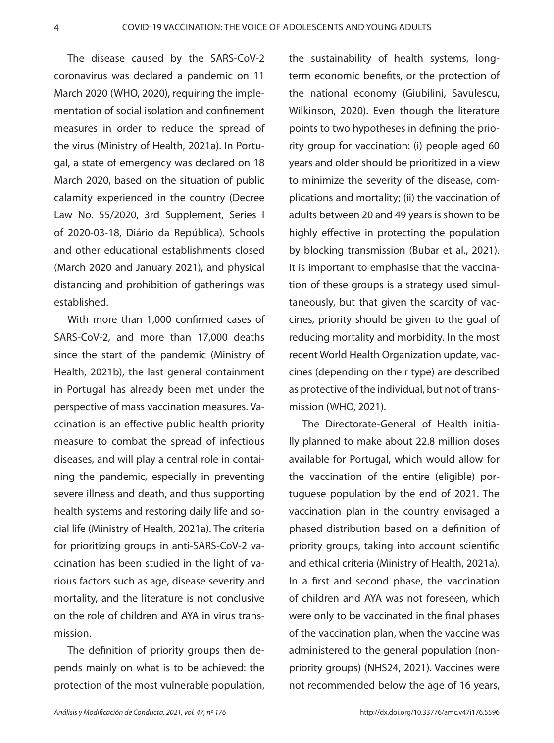The disease caused by the SARS-CoV-2 coronavirus was declared a pandemic on 11 March 2020 (WHO, 2020), requiring the implementation of social isolation and confinement measures in order to reduce the spread of the virus (Ministry of Health, 2021a). In Portugal, a state of emergency was declared on 18 March 2020, based on the situation of public calamity experienced in the country (Decree Law No. 55/2020, 3rd Supplement, Series I of 2020-03-18, Diário da República). Schools and other educational establishments closed (March 2020 and January 2021), and physical distancing and prohibition of gatherings was established.

With more than 1,000 confirmed cases of SARS-CoV-2, and more than 17,000 deaths since the start of the pandemic (Ministry of Health, 2021b), the last general containment in Portugal has already been met under the perspective of mass vaccination measures. Vaccination is an effective public health priority measure to combat the spread of infectious diseases, and will play a central role in containing the pandemic, especially in preventing severe illness and death, and thus supporting health systems and restoring daily life and social life (Ministry of Health, 2021a). The criteria for prioritizing groups in anti-SARS-CoV-2 vaccination has been studied in the light of various factors such as age, disease severity and mortality, and the literature is not conclusive on the role of children and AYA in virus transmission.

The definition of priority groups then depends mainly on what is to be achieved: the protection of the most vulnerable population,

the sustainability of health systems, longterm economic benefits, or the protection of the national economy (Giubilini, Savulescu, Wilkinson, 2020). Even though the literature points to two hypotheses in defining the priority group for vaccination: (i) people aged 60 years and older should be prioritized in a view to minimize the severity of the disease, complications and mortality; (ii) the vaccination of adults between 20 and 49 years is shown to be highly effective in protecting the population by blocking transmission (Bubar et al., 2021). It is important to emphasise that the vaccination of these groups is a strategy used simultaneously, but that given the scarcity of vaccines, priority should be given to the goal of reducing mortality and morbidity. In the most recent World Health Organization update, vaccines (depending on their type) are described as protective of the individual, but not of transmission (WHO, 2021).

The Directorate-General of Health initially planned to make about 22.8 million doses available for Portugal, which would allow for the vaccination of the entire (eligible) portuguese population by the end of 2021. The vaccination plan in the country envisaged a phased distribution based on a definition of priority groups, taking into account scientific and ethical criteria (Ministry of Health, 2021a). In a first and second phase, the vaccination of children and AYA was not foreseen, which were only to be vaccinated in the final phases of the vaccination plan, when the vaccine was administered to the general population (nonpriority groups) (NHS24, 2021). Vaccines were not recommended below the age of 16 years,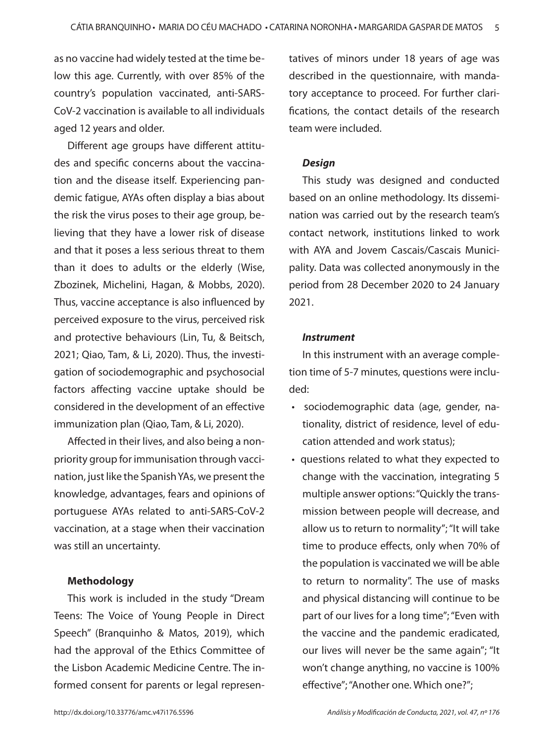as no vaccine had widely tested at the time below this age. Currently, with over 85% of the country's population vaccinated, anti-SARS-CoV-2 vaccination is available to all individuals aged 12 years and older.

Different age groups have different attitudes and specific concerns about the vaccination and the disease itself. Experiencing pandemic fatigue, AYAs often display a bias about the risk the virus poses to their age group, believing that they have a lower risk of disease and that it poses a less serious threat to them than it does to adults or the elderly (Wise, Zbozinek, Michelini, Hagan, & Mobbs, 2020). Thus, vaccine acceptance is also influenced by perceived exposure to the virus, perceived risk and protective behaviours (Lin, Tu, & Beitsch, 2021; Qiao, Tam, & Li, 2020). Thus, the investigation of sociodemographic and psychosocial factors affecting vaccine uptake should be considered in the development of an effective immunization plan (Qiao, Tam, & Li, 2020).

Affected in their lives, and also being a nonpriority group for immunisation through vaccination, just like the Spanish YAs, we present the knowledge, advantages, fears and opinions of portuguese AYAs related to anti-SARS-CoV-2 vaccination, at a stage when their vaccination was still an uncertainty.

## **Methodology**

This work is included in the study "Dream Teens: The Voice of Young People in Direct Speech" (Branquinho & Matos, 2019), which had the approval of the Ethics Committee of the Lisbon Academic Medicine Centre. The informed consent for parents or legal represen-

tatives of minors under 18 years of age was described in the questionnaire, with mandatory acceptance to proceed. For further clarifications, the contact details of the research team were included.

### *Design*

This study was designed and conducted based on an online methodology. Its dissemination was carried out by the research team's contact network, institutions linked to work with AYA and Jovem Cascais/Cascais Municipality. Data was collected anonymously in the period from 28 December 2020 to 24 January 2021.

#### *Instrument*

In this instrument with an average completion time of 5-7 minutes, questions were included:

- sociodemographic data (age, gender, nationality, district of residence, level of education attended and work status);
- questions related to what they expected to change with the vaccination, integrating 5 multiple answer options: "Quickly the transmission between people will decrease, and allow us to return to normality"; "It will take time to produce effects, only when 70% of the population is vaccinated we will be able to return to normality". The use of masks and physical distancing will continue to be part of our lives for a long time"; "Even with the vaccine and the pandemic eradicated, our lives will never be the same again"; "It won't change anything, no vaccine is 100% effective"; "Another one. Which one?";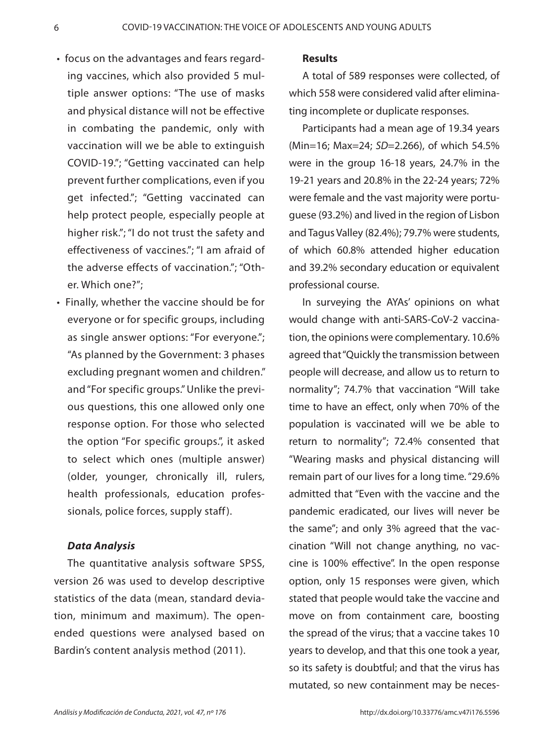- focus on the advantages and fears regarding vaccines, which also provided 5 multiple answer options: "The use of masks and physical distance will not be effective in combating the pandemic, only with vaccination will we be able to extinguish COVID-19."; "Getting vaccinated can help prevent further complications, even if you get infected."; "Getting vaccinated can help protect people, especially people at higher risk."; "I do not trust the safety and effectiveness of vaccines."; "I am afraid of the adverse effects of vaccination."; "Other. Which one?";
- Finally, whether the vaccine should be for everyone or for specific groups, including as single answer options: "For everyone."; "As planned by the Government: 3 phases excluding pregnant women and children." and "For specific groups." Unlike the previous questions, this one allowed only one response option. For those who selected the option "For specific groups.", it asked to select which ones (multiple answer) (older, younger, chronically ill, rulers, health professionals, education professionals, police forces, supply staff ).

# *Data Analysis*

The quantitative analysis software SPSS, version 26 was used to develop descriptive statistics of the data (mean, standard deviation, minimum and maximum). The openended questions were analysed based on Bardin's content analysis method (2011).

## **Results**

A total of 589 responses were collected, of which 558 were considered valid after eliminating incomplete or duplicate responses.

Participants had a mean age of 19.34 years (Min=16; Max=24; *SD*=2.266), of which 54.5% were in the group 16-18 years, 24.7% in the 19-21 years and 20.8% in the 22-24 years; 72% were female and the vast majority were portuguese (93.2%) and lived in the region of Lisbon and Tagus Valley (82.4%); 79.7% were students, of which 60.8% attended higher education and 39.2% secondary education or equivalent professional course.

In surveying the AYAs' opinions on what would change with anti-SARS-CoV-2 vaccination, the opinions were complementary. 10.6% agreed that "Quickly the transmission between people will decrease, and allow us to return to normality"; 74.7% that vaccination "Will take time to have an effect, only when 70% of the population is vaccinated will we be able to return to normality"; 72.4% consented that "Wearing masks and physical distancing will remain part of our lives for a long time. "29.6% admitted that "Even with the vaccine and the pandemic eradicated, our lives will never be the same"; and only 3% agreed that the vaccination "Will not change anything, no vaccine is 100% effective". In the open response option, only 15 responses were given, which stated that people would take the vaccine and move on from containment care, boosting the spread of the virus; that a vaccine takes 10 years to develop, and that this one took a year, so its safety is doubtful; and that the virus has mutated, so new containment may be neces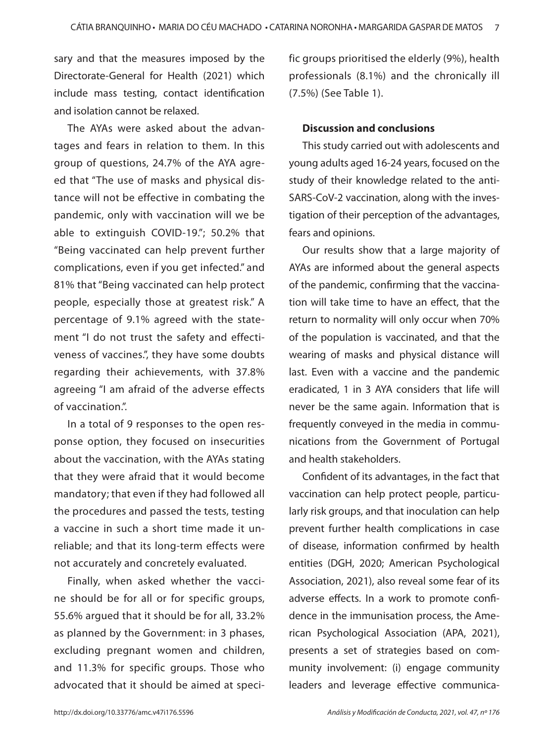sary and that the measures imposed by the Directorate-General for Health (2021) which include mass testing, contact identification and isolation cannot be relaxed.

The AYAs were asked about the advantages and fears in relation to them. In this group of questions, 24.7% of the AYA agreed that "The use of masks and physical distance will not be effective in combating the pandemic, only with vaccination will we be able to extinguish COVID-19."; 50.2% that "Being vaccinated can help prevent further complications, even if you get infected." and 81% that "Being vaccinated can help protect people, especially those at greatest risk." A percentage of 9.1% agreed with the statement "I do not trust the safety and effectiveness of vaccines.", they have some doubts regarding their achievements, with 37.8% agreeing "I am afraid of the adverse effects of vaccination.".

In a total of 9 responses to the open response option, they focused on insecurities about the vaccination, with the AYAs stating that they were afraid that it would become mandatory; that even if they had followed all the procedures and passed the tests, testing a vaccine in such a short time made it unreliable; and that its long-term effects were not accurately and concretely evaluated.

Finally, when asked whether the vaccine should be for all or for specific groups, 55.6% argued that it should be for all, 33.2% as planned by the Government: in 3 phases, excluding pregnant women and children, and 11.3% for specific groups. Those who advocated that it should be aimed at specific groups prioritised the elderly (9%), health professionals (8.1%) and the chronically ill (7.5%) (See Table 1).

## **Discussion and conclusions**

This study carried out with adolescents and young adults aged 16-24 years, focused on the study of their knowledge related to the anti-SARS-CoV-2 vaccination, along with the investigation of their perception of the advantages, fears and opinions.

Our results show that a large majority of AYAs are informed about the general aspects of the pandemic, confirming that the vaccination will take time to have an effect, that the return to normality will only occur when 70% of the population is vaccinated, and that the wearing of masks and physical distance will last. Even with a vaccine and the pandemic eradicated, 1 in 3 AYA considers that life will never be the same again. Information that is frequently conveyed in the media in communications from the Government of Portugal and health stakeholders.

Confident of its advantages, in the fact that vaccination can help protect people, particularly risk groups, and that inoculation can help prevent further health complications in case of disease, information confirmed by health entities (DGH, 2020; American Psychological Association, 2021), also reveal some fear of its adverse effects. In a work to promote confidence in the immunisation process, the American Psychological Association (APA, 2021), presents a set of strategies based on community involvement: (i) engage community leaders and leverage effective communica-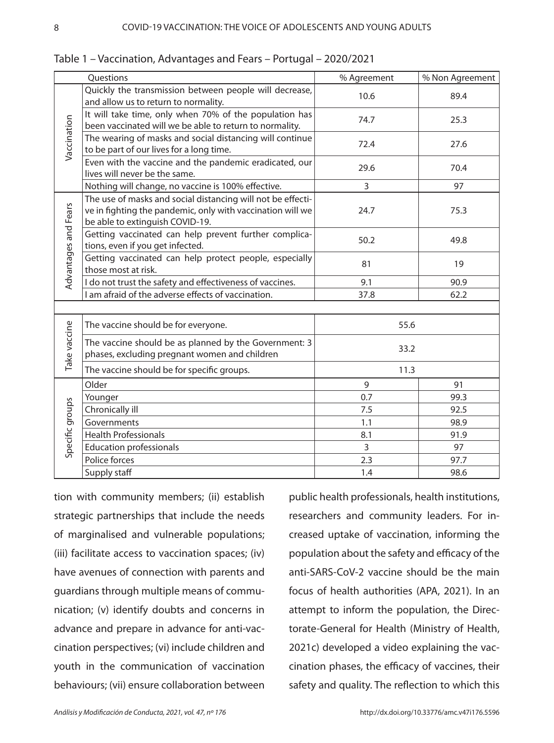| Questions            |                                                                                                                                                              | % Agreement    | % Non Agreement |
|----------------------|--------------------------------------------------------------------------------------------------------------------------------------------------------------|----------------|-----------------|
| Vaccination          | Quickly the transmission between people will decrease,<br>and allow us to return to normality.                                                               | 10.6           | 89.4            |
|                      | It will take time, only when 70% of the population has<br>been vaccinated will we be able to return to normality.                                            | 74.7           | 25.3            |
|                      | The wearing of masks and social distancing will continue<br>to be part of our lives for a long time.                                                         | 72.4           | 27.6            |
|                      | Even with the vaccine and the pandemic eradicated, our<br>lives will never be the same.                                                                      | 29.6           | 70.4            |
|                      | Nothing will change, no vaccine is 100% effective.                                                                                                           | 3              | 97              |
| Advantages and Fears | The use of masks and social distancing will not be effecti-<br>ve in fighting the pandemic, only with vaccination will we<br>be able to extinguish COVID-19. | 24.7           | 75.3            |
|                      | Getting vaccinated can help prevent further complica-<br>tions, even if you get infected.                                                                    | 50.2           | 49.8            |
|                      | Getting vaccinated can help protect people, especially<br>those most at risk.                                                                                | 81             | 19              |
|                      | I do not trust the safety and effectiveness of vaccines.                                                                                                     | 9.1            | 90.9            |
|                      | I am afraid of the adverse effects of vaccination.                                                                                                           | 37.8           | 62.2            |
|                      |                                                                                                                                                              |                |                 |
| Take vaccine         | The vaccine should be for everyone.                                                                                                                          | 55.6           |                 |
|                      | The vaccine should be as planned by the Government: 3<br>phases, excluding pregnant women and children                                                       | 33.2           |                 |
|                      | The vaccine should be for specific groups.                                                                                                                   | 11.3           |                 |
| Specific groups      | Older                                                                                                                                                        | 9              | 91              |
|                      | Younger                                                                                                                                                      | 0.7            | 99.3            |
|                      | Chronically ill                                                                                                                                              | 7.5            | 92.5            |
|                      | Governments                                                                                                                                                  | 1.1            | 98.9            |
|                      | <b>Health Professionals</b>                                                                                                                                  | 8.1            | 91.9            |
|                      | <b>Education professionals</b>                                                                                                                               | $\overline{3}$ | 97              |
|                      | Police forces                                                                                                                                                | 2.3            | 97.7            |
|                      | Supply staff                                                                                                                                                 | 1.4            | 98.6            |

Table 1 – Vaccination, Advantages and Fears – Portugal – 2020/2021

tion with community members; (ii) establish strategic partnerships that include the needs of marginalised and vulnerable populations; (iii) facilitate access to vaccination spaces; (iv) have avenues of connection with parents and guardians through multiple means of communication; (v) identify doubts and concerns in advance and prepare in advance for anti-vaccination perspectives; (vi) include children and youth in the communication of vaccination behaviours; (vii) ensure collaboration between

public health professionals, health institutions, researchers and community leaders. For increased uptake of vaccination, informing the population about the safety and efficacy of the anti-SARS-CoV-2 vaccine should be the main focus of health authorities (APA, 2021). In an attempt to inform the population, the Directorate-General for Health (Ministry of Health, 2021c) developed a video explaining the vaccination phases, the efficacy of vaccines, their safety and quality. The reflection to which this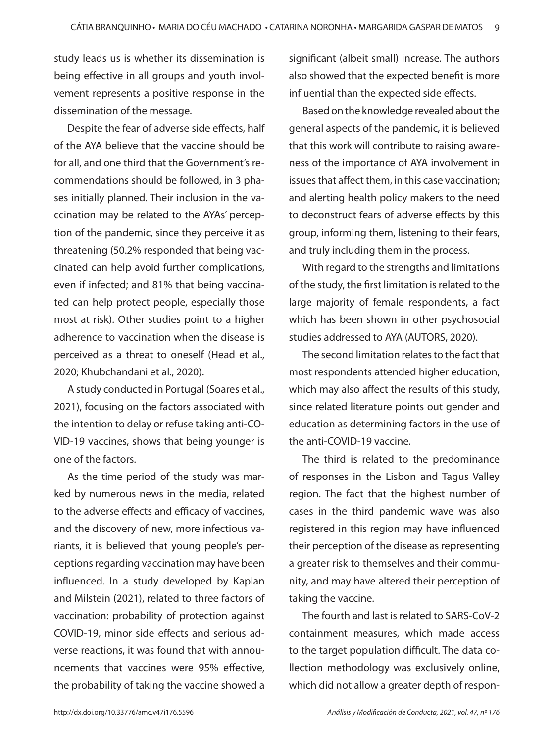study leads us is whether its dissemination is being effective in all groups and youth involvement represents a positive response in the dissemination of the message.

Despite the fear of adverse side effects, half of the AYA believe that the vaccine should be for all, and one third that the Government's recommendations should be followed, in 3 phases initially planned. Their inclusion in the vaccination may be related to the AYAs' perception of the pandemic, since they perceive it as threatening (50.2% responded that being vaccinated can help avoid further complications, even if infected; and 81% that being vaccinated can help protect people, especially those most at risk). Other studies point to a higher adherence to vaccination when the disease is perceived as a threat to oneself (Head et al., 2020; Khubchandani et al., 2020).

A study conducted in Portugal (Soares et al., 2021), focusing on the factors associated with the intention to delay or refuse taking anti-CO-VID-19 vaccines, shows that being younger is one of the factors.

As the time period of the study was marked by numerous news in the media, related to the adverse effects and efficacy of vaccines, and the discovery of new, more infectious variants, it is believed that young people's perceptions regarding vaccination may have been influenced. In a study developed by Kaplan and Milstein (2021), related to three factors of vaccination: probability of protection against COVID-19, minor side effects and serious adverse reactions, it was found that with announcements that vaccines were 95% effective, the probability of taking the vaccine showed a

significant (albeit small) increase. The authors also showed that the expected benefit is more influential than the expected side effects.

Based on the knowledge revealed about the general aspects of the pandemic, it is believed that this work will contribute to raising awareness of the importance of AYA involvement in issues that affect them, in this case vaccination; and alerting health policy makers to the need to deconstruct fears of adverse effects by this group, informing them, listening to their fears, and truly including them in the process.

With regard to the strengths and limitations of the study, the first limitation is related to the large majority of female respondents, a fact which has been shown in other psychosocial studies addressed to AYA (AUTORS, 2020).

The second limitation relates to the fact that most respondents attended higher education, which may also affect the results of this study, since related literature points out gender and education as determining factors in the use of the anti-COVID-19 vaccine.

The third is related to the predominance of responses in the Lisbon and Tagus Valley region. The fact that the highest number of cases in the third pandemic wave was also registered in this region may have influenced their perception of the disease as representing a greater risk to themselves and their community, and may have altered their perception of taking the vaccine.

The fourth and last is related to SARS-CoV-2 containment measures, which made access to the target population difficult. The data collection methodology was exclusively online, which did not allow a greater depth of respon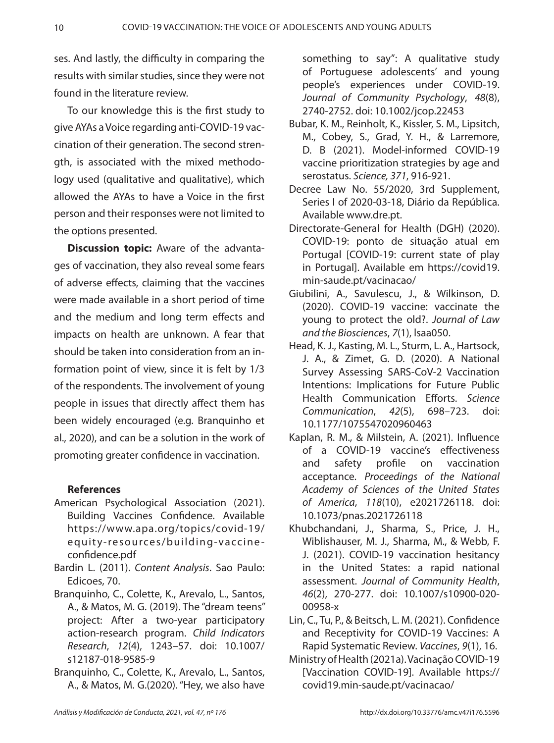ses. And lastly, the difficulty in comparing the results with similar studies, since they were not found in the literature review.

To our knowledge this is the first study to give AYAs a Voice regarding anti-COVID-19 vaccination of their generation. The second strength, is associated with the mixed methodology used (qualitative and qualitative), which allowed the AYAs to have a Voice in the first person and their responses were not limited to the options presented.

**Discussion topic:** Aware of the advantages of vaccination, they also reveal some fears of adverse effects, claiming that the vaccines were made available in a short period of time and the medium and long term effects and impacts on health are unknown. A fear that should be taken into consideration from an information point of view, since it is felt by 1/3 of the respondents. The involvement of young people in issues that directly affect them has been widely encouraged (e.g. Branquinho et al., 2020), and can be a solution in the work of promoting greater confidence in vaccination.

# **References**

- American Psychological Association (2021). Building Vaccines Confidence. Available https://www.apa.org/topics/covid-19/ equity-resources/building-vaccineconfidence.pdf
- Bardin L. (2011). *Content Analysis*. Sao Paulo: Edicoes, 70.
- Branquinho, C., Colette, K., Arevalo, L., Santos, A., & Matos, M. G. (2019). The "dream teens" project: After a two-year participatory action-research program. *Child Indicators Research*, *12*(4), 1243–57. doi: 10.1007/ s12187-018-9585-9
- Branquinho, C., Colette, K., Arevalo, L., Santos, A., & Matos, M. G.(2020). "Hey, we also have

something to say": A qualitative study of Portuguese adolescents' and young people's experiences under COVID‐19. *Journal of Community Psychology*, *48*(8), 2740-2752. doi: 10.1002/jcop.22453

- Bubar, K. M., Reinholt, K., Kissler, S. M., Lipsitch, M., Cobey, S., Grad, Y. H., & Larremore, D. B (2021). Model-informed COVID-19 vaccine prioritization strategies by age and serostatus. *Science, 371*, 916-921.
- Decree Law No. 55/2020, 3rd Supplement, Series I of 2020-03-18, Diário da República. Available www.dre.pt.
- Directorate-General for Health (DGH) (2020). COVID-19: ponto de situação atual em Portugal [COVID-19: current state of play in Portugal]. Available em https://covid19. min-saude.pt/vacinacao/
- Giubilini, A., Savulescu, J., & Wilkinson, D. (2020). COVID-19 vaccine: vaccinate the young to protect the old?. *Journal of Law and the Biosciences*, *7*(1), lsaa050.
- Head, K. J., Kasting, M. L., Sturm, L. A., Hartsock, J. A., & Zimet, G. D. (2020). A National Survey Assessing SARS-CoV-2 Vaccination Intentions: Implications for Future Public Health Communication Efforts. *Science Communication*, *42*(5), 698–723. doi: 10.1177/1075547020960463
- Kaplan, R. M., & Milstein, A. (2021). Influence of a COVID-19 vaccine's effectiveness and safety profile on vaccination acceptance. *Proceedings of the National Academy of Sciences of the United States of America*, *118*(10), e2021726118. doi: 10.1073/pnas.2021726118
- Khubchandani, J., Sharma, S., Price, J. H., Wiblishauser, M. J., Sharma, M., & Webb, F. J. (2021). COVID-19 vaccination hesitancy in the United States: a rapid national assessment. *Journal of Community Health*, *46*(2), 270-277. doi: 10.1007/s10900-020- 00958-x
- Lin, C., Tu, P., & Beitsch, L. M. (2021). Confidence and Receptivity for COVID-19 Vaccines: A Rapid Systematic Review. *Vaccines*, *9*(1), 16.
- Ministry of Health (2021a). Vacinação COVID-19 [Vaccination COVID-19]. Available https:// covid19.min-saude.pt/vacinacao/